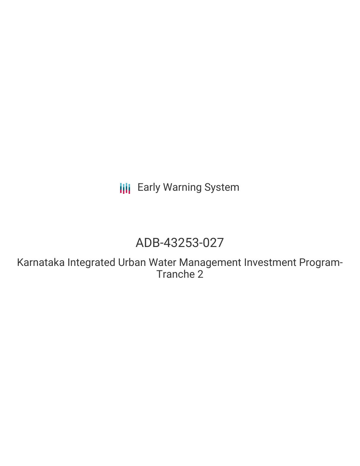**III** Early Warning System

# ADB-43253-027

Karnataka Integrated Urban Water Management Investment Program-Tranche 2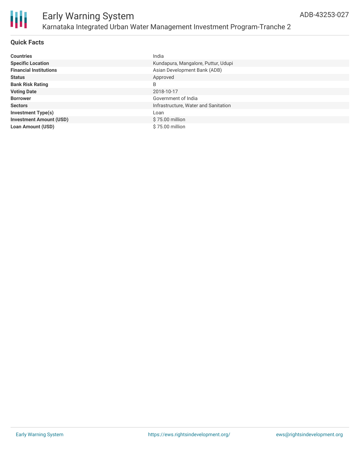

### **Quick Facts**

| <b>Countries</b>               | India                                |
|--------------------------------|--------------------------------------|
| <b>Specific Location</b>       | Kundapura, Mangalore, Puttur, Udupi  |
| <b>Financial Institutions</b>  | Asian Development Bank (ADB)         |
| <b>Status</b>                  | Approved                             |
| <b>Bank Risk Rating</b>        | B                                    |
| <b>Voting Date</b>             | 2018-10-17                           |
| <b>Borrower</b>                | Government of India                  |
| <b>Sectors</b>                 | Infrastructure, Water and Sanitation |
| <b>Investment Type(s)</b>      | Loan                                 |
| <b>Investment Amount (USD)</b> | $$75.00$ million                     |
| <b>Loan Amount (USD)</b>       | \$75.00 million                      |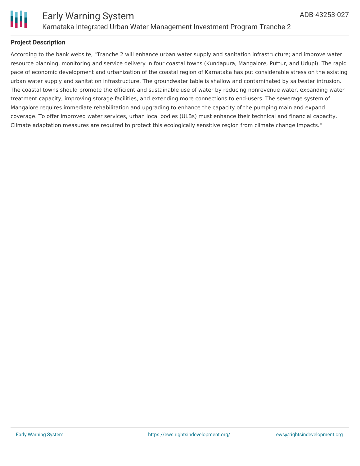

### **Project Description**

According to the bank website, "Tranche 2 will enhance urban water supply and sanitation infrastructure; and improve water resource planning, monitoring and service delivery in four coastal towns (Kundapura, Mangalore, Puttur, and Udupi). The rapid pace of economic development and urbanization of the coastal region of Karnataka has put considerable stress on the existing urban water supply and sanitation infrastructure. The groundwater table is shallow and contaminated by saltwater intrusion. The coastal towns should promote the efficient and sustainable use of water by reducing nonrevenue water, expanding water treatment capacity, improving storage facilities, and extending more connections to end-users. The sewerage system of Mangalore requires immediate rehabilitation and upgrading to enhance the capacity of the pumping main and expand coverage. To offer improved water services, urban local bodies (ULBs) must enhance their technical and financial capacity. Climate adaptation measures are required to protect this ecologically sensitive region from climate change impacts."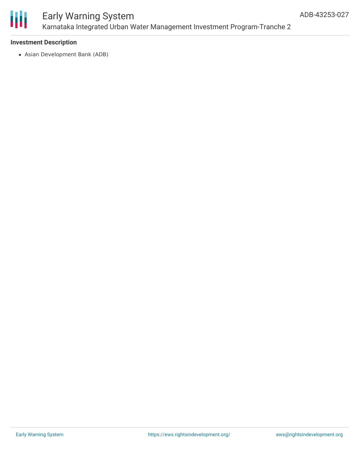

### Early Warning System Karnataka Integrated Urban Water Management Investment Program-Tranche 2

### **Investment Description**

Asian Development Bank (ADB)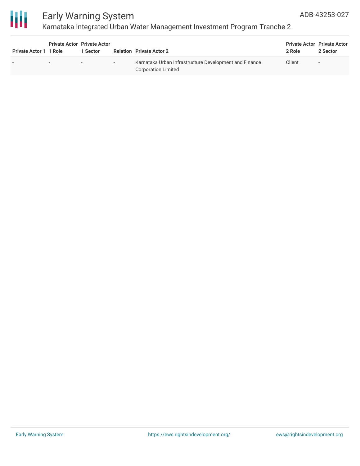

### Early Warning System Karnataka Integrated Urban Water Management Investment Program-Tranche 2

| <b>Private Actor 1 1 Role</b> | <b>Private Actor Private Actor</b> | 1 Sector |        | <b>Relation Private Actor 2</b>                                                      | <b>Private Actor Private Actor</b><br>2 Role | 2 Sector                 |
|-------------------------------|------------------------------------|----------|--------|--------------------------------------------------------------------------------------|----------------------------------------------|--------------------------|
| $\overline{\phantom{a}}$      | $\overline{\phantom{0}}$           | $\sim$   | $\sim$ | Karnataka Urban Infrastructure Development and Finance<br><b>Corporation Limited</b> | Client                                       | $\overline{\phantom{a}}$ |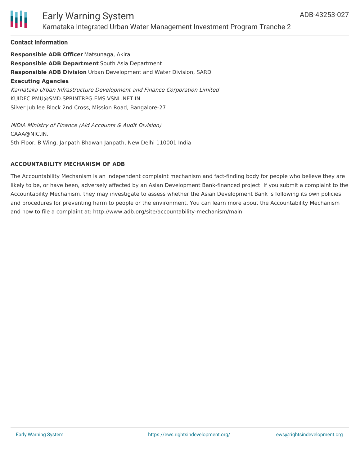

### Early Warning System Karnataka Integrated Urban Water Management Investment Program-Tranche 2

### **Contact Information**

**Responsible ADB Officer** Matsunaga, Akira **Responsible ADB Department** South Asia Department **Responsible ADB Division** Urban Development and Water Division, SARD **Executing Agencies** Karnataka Urban Infrastructure Development and Finance Corporation Limited KUIDFC.PMU@SMD.SPRINTRPG.EMS.VSNL.NET.IN Silver Jubilee Block 2nd Cross, Mission Road, Bangalore-27

INDIA Ministry of Finance (Aid Accounts & Audit Division) CAAA@NIC.IN. 5th Floor, B Wing, Janpath Bhawan Janpath, New Delhi 110001 India

### **ACCOUNTABILITY MECHANISM OF ADB**

The Accountability Mechanism is an independent complaint mechanism and fact-finding body for people who believe they are likely to be, or have been, adversely affected by an Asian Development Bank-financed project. If you submit a complaint to the Accountability Mechanism, they may investigate to assess whether the Asian Development Bank is following its own policies and procedures for preventing harm to people or the environment. You can learn more about the Accountability Mechanism and how to file a complaint at: http://www.adb.org/site/accountability-mechanism/main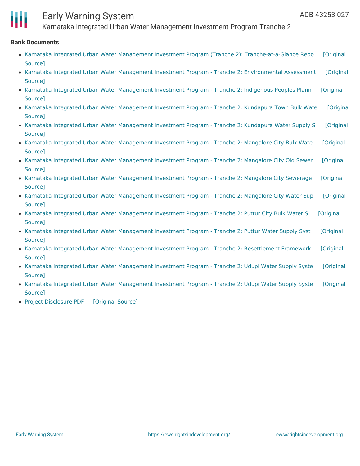

## Early Warning System

Karnataka Integrated Urban Water Management Investment Program-Tranche 2

#### **Bank Documents**

- Karnataka Integrated Urban Water Management Investment Program (Tranche 2): [Tranche-at-a-Glance](https://ewsdata.rightsindevelopment.org/files/documents/27/ADB-43253-027_zRTVFGw.pdf) Repo [Original Source]
- Karnataka Integrated Urban Water Management Investment Program Tranche 2: [Environmental](https://ewsdata.rightsindevelopment.org/files/documents/27/ADB-43253-027_y3ko1pp.pdf) Assessment [Original Source]
- Karnataka Integrated Urban Water [Management](https://ewsdata.rightsindevelopment.org/files/documents/27/ADB-43253-027_QXNcnOk.pdf) Investment Program Tranche 2: Indigenous Peoples Plann [Original Source]
- Karnataka Integrated Urban Water [Management](https://ewsdata.rightsindevelopment.org/files/documents/27/ADB-43253-027_aHwIfBZ.pdf) Investment Program Tranche 2: Kundapura Town Bulk Wate [Original Source]
- Karnataka Integrated Urban Water [Management](https://ewsdata.rightsindevelopment.org/files/documents/27/ADB-43253-027_dqrURgY.pdf) Investment Program Tranche 2: Kundapura Water Supply S [Original Source]
- Karnataka Integrated Urban Water [Management](https://ewsdata.rightsindevelopment.org/files/documents/27/ADB-43253-027_N5irBXu.pdf) Investment Program Tranche 2: Mangalore City Bulk Wate [Original Source]
- Karnataka Integrated Urban Water [Management](https://ewsdata.rightsindevelopment.org/files/documents/27/ADB-43253-027_PIDlPBX.pdf) Investment Program Tranche 2: Mangalore City Old Sewer [Original Source]
- Karnataka Integrated Urban Water [Management](https://ewsdata.rightsindevelopment.org/files/documents/27/ADB-43253-027_YfkHOY5.pdf) Investment Program Tranche 2: Mangalore City Sewerage [Original Source]
- Karnataka Integrated Urban Water [Management](https://ewsdata.rightsindevelopment.org/files/documents/27/ADB-43253-027_JO2m7lM.pdf) Investment Program Tranche 2: Mangalore City Water Sup [Original Source]
- Karnataka Integrated Urban Water [Management](https://ewsdata.rightsindevelopment.org/files/documents/27/ADB-43253-027_f27I9Es.pdf) Investment Program Tranche 2: Puttur City Bulk Water S [Original Source]
- Karnataka Integrated Urban Water [Management](https://ewsdata.rightsindevelopment.org/files/documents/27/ADB-43253-027_dSX617x.pdf) Investment Program Tranche 2: Puttur Water Supply Syst [Original Source]
- Karnataka Integrated Urban Water Management Investment Program Tranche 2: [Resettlement](https://ewsdata.rightsindevelopment.org/files/documents/27/ADB-43253-027_IKkdviY.pdf) Framework [Original Source]
- Karnataka Integrated Urban Water [Management](https://ewsdata.rightsindevelopment.org/files/documents/27/ADB-43253-027_eno6lZQ.pdf) Investment Program Tranche 2: Udupi Water Supply Syste [Original Source]
- Karnataka Integrated Urban Water [Management](https://ewsdata.rightsindevelopment.org/files/documents/27/ADB-43253-027_neR5jvt.pdf) Investment Program Tranche 2: Udupi Water Supply Syste [Original Source]
- Project [Disclosure](https://ewsdata.rightsindevelopment.org/files/documents/27/ADB-43253-027.pdf) PDF [\[Original](https://www.adb.org/printpdf/projects/43253-027/main) Source]